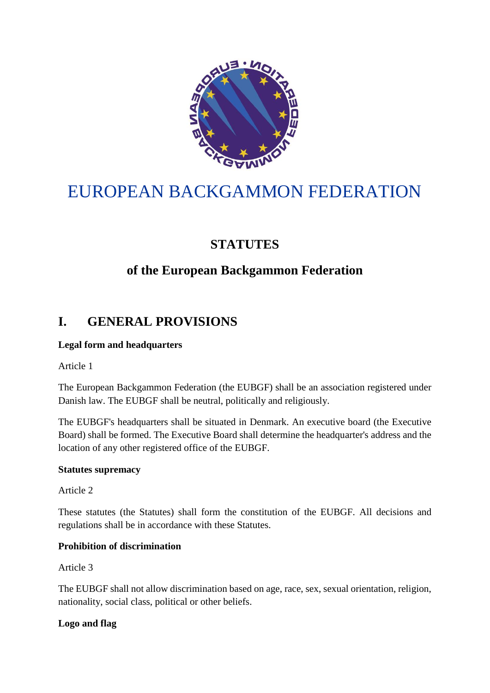

# EUROPEAN BACKGAMMON FEDERATION

# **STATUTES**

# **of the European Backgammon Federation**

# **I. GENERAL PROVISIONS**

# **Legal form and headquarters**

Article 1

The European Backgammon Federation (the EUBGF) shall be an association registered under Danish law. The EUBGF shall be neutral, politically and religiously.

The EUBGF's headquarters shall be situated in Denmark. An executive board (the Executive Board) shall be formed. The Executive Board shall determine the headquarter's address and the location of any other registered office of the EUBGF.

#### **Statutes supremacy**

Article 2

These statutes (the Statutes) shall form the constitution of the EUBGF. All decisions and regulations shall be in accordance with these Statutes.

# **Prohibition of discrimination**

Article 3

The EUBGF shall not allow discrimination based on age, race, sex, sexual orientation, religion, nationality, social class, political or other beliefs.

# **Logo and flag**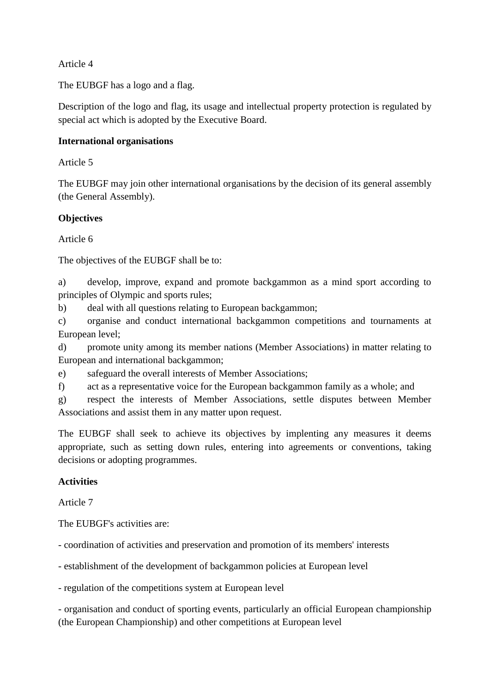Article 4

The EUBGF has a logo and a flag.

Description of the logo and flag, its usage and intellectual property protection is regulated by special act which is adopted by the Executive Board.

#### **International organisations**

Article 5

The EUBGF may join other international organisations by the decision of its general assembly (the General Assembly).

### **Objectives**

Article 6

The objectives of the EUBGF shall be to:

a) develop, improve, expand and promote backgammon as a mind sport according to principles of Olympic and sports rules;

b) deal with all questions relating to European backgammon;

c) organise and conduct international backgammon competitions and tournaments at European level;

d) promote unity among its member nations (Member Associations) in matter relating to European and international backgammon;

e) safeguard the overall interests of Member Associations;

f) act as a representative voice for the European backgammon family as a whole; and

g) respect the interests of Member Associations, settle disputes between Member Associations and assist them in any matter upon request.

The EUBGF shall seek to achieve its objectives by implenting any measures it deems appropriate, such as setting down rules, entering into agreements or conventions, taking decisions or adopting programmes.

# **Activities**

Article 7

The EUBGF's activities are:

- coordination of activities and preservation and promotion of its members' interests

- establishment of the development of backgammon policies at European level

- regulation of the competitions system at European level

- organisation and conduct of sporting events, particularly an official European championship (the European Championship) and other competitions at European level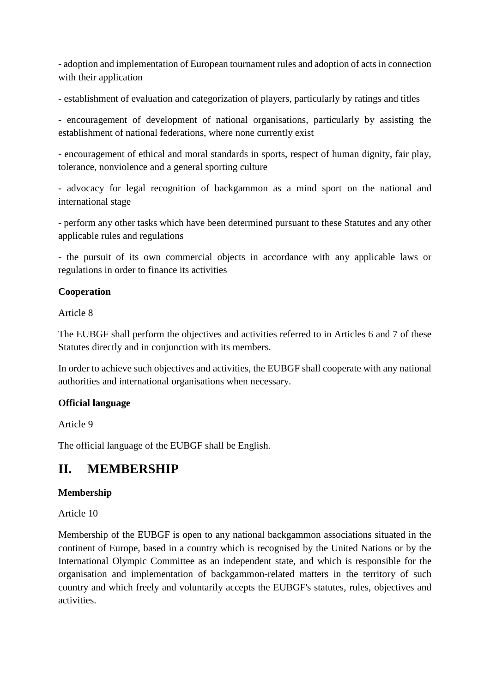- adoption and implementation of European tournament rules and adoption of acts in connection with their application

- establishment of evaluation and categorization of players, particularly by ratings and titles

- encouragement of development of national organisations, particularly by assisting the establishment of national federations, where none currently exist

- encouragement of ethical and moral standards in sports, respect of human dignity, fair play, tolerance, nonviolence and a general sporting culture

- advocacy for legal recognition of backgammon as a mind sport on the national and international stage

- perform any other tasks which have been determined pursuant to these Statutes and any other applicable rules and regulations

- the pursuit of its own commercial objects in accordance with any applicable laws or regulations in order to finance its activities

# **Cooperation**

Article 8

The EUBGF shall perform the objectives and activities referred to in Articles 6 and 7 of these Statutes directly and in conjunction with its members.

In order to achieve such objectives and activities, the EUBGF shall cooperate with any national authorities and international organisations when necessary.

# **Official language**

Article 9

The official language of the EUBGF shall be English.

# **II. MEMBERSHIP**

# **Membership**

Article 10

Membership of the EUBGF is open to any national backgammon associations situated in the continent of Europe, based in a country which is recognised by the United Nations or by the International Olympic Committee as an independent state, and which is responsible for the organisation and implementation of backgammon-related matters in the territory of such country and which freely and voluntarily accepts the EUBGF's statutes, rules, objectives and activities.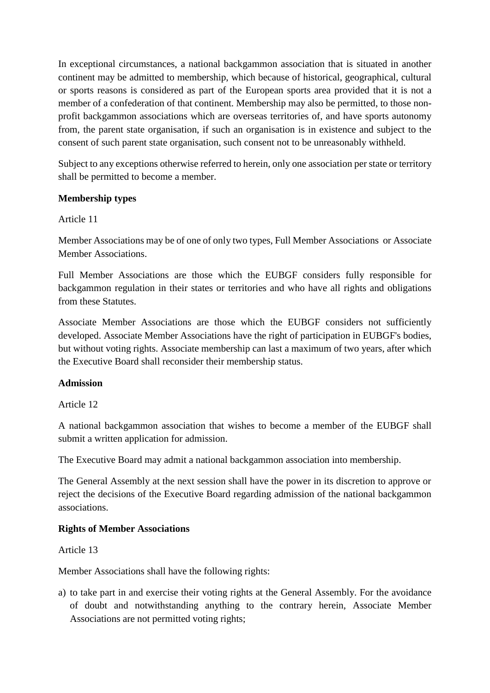In exceptional circumstances, a national backgammon association that is situated in another continent may be admitted to membership, which because of historical, geographical, cultural or sports reasons is considered as part of the European sports area provided that it is not a member of a confederation of that continent. Membership may also be permitted, to those nonprofit backgammon associations which are overseas territories of, and have sports autonomy from, the parent state organisation, if such an organisation is in existence and subject to the consent of such parent state organisation, such consent not to be unreasonably withheld.

Subject to any exceptions otherwise referred to herein, only one association per state or territory shall be permitted to become a member.

### **Membership types**

#### Article 11

Member Associations may be of one of only two types, Full Member Associations or Associate Member Associations.

Full Member Associations are those which the EUBGF considers fully responsible for backgammon regulation in their states or territories and who have all rights and obligations from these Statutes.

Associate Member Associations are those which the EUBGF considers not sufficiently developed. Associate Member Associations have the right of participation in EUBGF's bodies, but without voting rights. Associate membership can last a maximum of two years, after which the Executive Board shall reconsider their membership status.

#### **Admission**

Article 12

A national backgammon association that wishes to become a member of the EUBGF shall submit a written application for admission.

The Executive Board may admit a national backgammon association into membership.

The General Assembly at the next session shall have the power in its discretion to approve or reject the decisions of the Executive Board regarding admission of the national backgammon associations.

#### **Rights of Member Associations**

Article 13

Member Associations shall have the following rights:

a) to take part in and exercise their voting rights at the General Assembly. For the avoidance of doubt and notwithstanding anything to the contrary herein, Associate Member Associations are not permitted voting rights;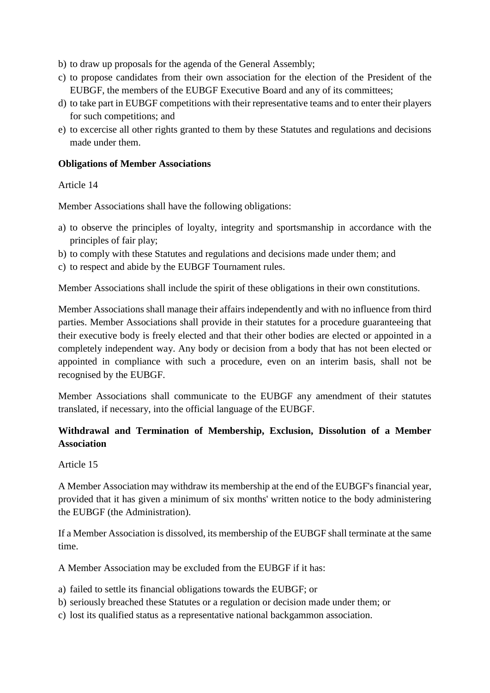- b) to draw up proposals for the agenda of the General Assembly;
- c) to propose candidates from their own association for the election of the President of the EUBGF, the members of the EUBGF Executive Board and any of its committees;
- d) to take part in EUBGF competitions with their representative teams and to enter their players for such competitions; and
- e) to excercise all other rights granted to them by these Statutes and regulations and decisions made under them.

#### **Obligations of Member Associations**

Article 14

Member Associations shall have the following obligations:

- a) to observe the principles of loyalty, integrity and sportsmanship in accordance with the principles of fair play;
- b) to comply with these Statutes and regulations and decisions made under them; and
- c) to respect and abide by the EUBGF Tournament rules.

Member Associations shall include the spirit of these obligations in their own constitutions.

Member Associations shall manage their affairs independently and with no influence from third parties. Member Associations shall provide in their statutes for a procedure guaranteeing that their executive body is freely elected and that their other bodies are elected or appointed in a completely independent way. Any body or decision from a body that has not been elected or appointed in compliance with such a procedure, even on an interim basis, shall not be recognised by the EUBGF.

Member Associations shall communicate to the EUBGF any amendment of their statutes translated, if necessary, into the official language of the EUBGF.

# **Withdrawal and Termination of Membership, Exclusion, Dissolution of a Member Association**

Article 15

A Member Association may withdraw its membership at the end of the EUBGF's financial year, provided that it has given a minimum of six months' written notice to the body administering the EUBGF (the Administration).

If a Member Association is dissolved, its membership of the EUBGF shall terminate at the same time.

A Member Association may be excluded from the EUBGF if it has:

- a) failed to settle its financial obligations towards the EUBGF; or
- b) seriously breached these Statutes or a regulation or decision made under them; or
- c) lost its qualified status as a representative national backgammon association.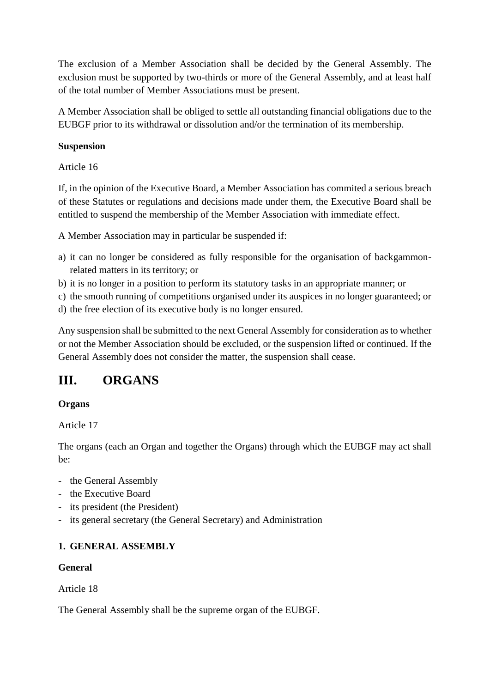The exclusion of a Member Association shall be decided by the General Assembly. The exclusion must be supported by two-thirds or more of the General Assembly, and at least half of the total number of Member Associations must be present.

A Member Association shall be obliged to settle all outstanding financial obligations due to the EUBGF prior to its withdrawal or dissolution and/or the termination of its membership.

# **Suspension**

Article 16

If, in the opinion of the Executive Board, a Member Association has commited a serious breach of these Statutes or regulations and decisions made under them, the Executive Board shall be entitled to suspend the membership of the Member Association with immediate effect.

A Member Association may in particular be suspended if:

- a) it can no longer be considered as fully responsible for the organisation of backgammonrelated matters in its territory; or
- b) it is no longer in a position to perform its statutory tasks in an appropriate manner; or
- c) the smooth running of competitions organised under its auspices in no longer guaranteed; or
- d) the free election of its executive body is no longer ensured.

Any suspension shall be submitted to the next General Assembly for consideration as to whether or not the Member Association should be excluded, or the suspension lifted or continued. If the General Assembly does not consider the matter, the suspension shall cease.

# **III. ORGANS**

# **Organs**

Article 17

The organs (each an Organ and together the Organs) through which the EUBGF may act shall be:

- the General Assembly
- the Executive Board
- its president (the President)
- its general secretary (the General Secretary) and Administration

# **1. GENERAL ASSEMBLY**

# **General**

Article 18

The General Assembly shall be the supreme organ of the EUBGF.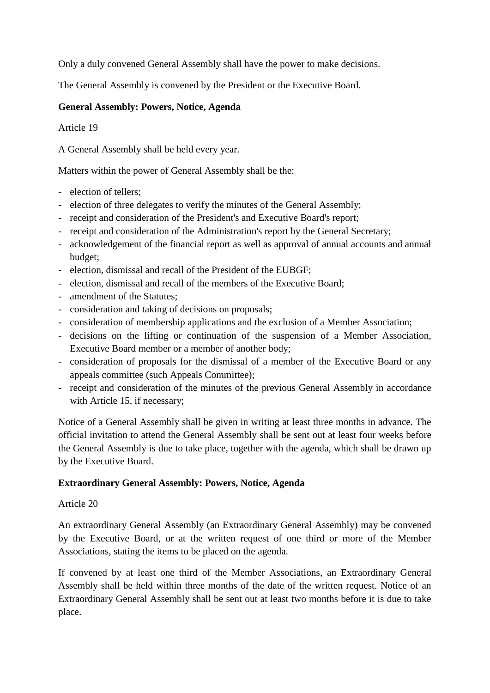Only a duly convened General Assembly shall have the power to make decisions.

The General Assembly is convened by the President or the Executive Board.

# **General Assembly: Powers, Notice, Agenda**

Article 19

A General Assembly shall be held every year.

Matters within the power of General Assembly shall be the:

- election of tellers;
- election of three delegates to verify the minutes of the General Assembly;
- receipt and consideration of the President's and Executive Board's report;
- receipt and consideration of the Administration's report by the General Secretary;
- acknowledgement of the financial report as well as approval of annual accounts and annual budget;
- election, dismissal and recall of the President of the EUBGF;
- election, dismissal and recall of the members of the Executive Board;
- amendment of the Statutes;
- consideration and taking of decisions on proposals;
- consideration of membership applications and the exclusion of a Member Association;
- decisions on the lifting or continuation of the suspension of a Member Association, Executive Board member or a member of another body;
- consideration of proposals for the dismissal of a member of the Executive Board or any appeals committee (such Appeals Committee);
- receipt and consideration of the minutes of the previous General Assembly in accordance with Article 15, if necessary;

Notice of a General Assembly shall be given in writing at least three months in advance. The official invitation to attend the General Assembly shall be sent out at least four weeks before the General Assembly is due to take place, together with the agenda, which shall be drawn up by the Executive Board.

#### **Extraordinary General Assembly: Powers, Notice, Agenda**

#### Article 20

An extraordinary General Assembly (an Extraordinary General Assembly) may be convened by the Executive Board, or at the written request of one third or more of the Member Associations, stating the items to be placed on the agenda.

If convened by at least one third of the Member Associations, an Extraordinary General Assembly shall be held within three months of the date of the written request. Notice of an Extraordinary General Assembly shall be sent out at least two months before it is due to take place.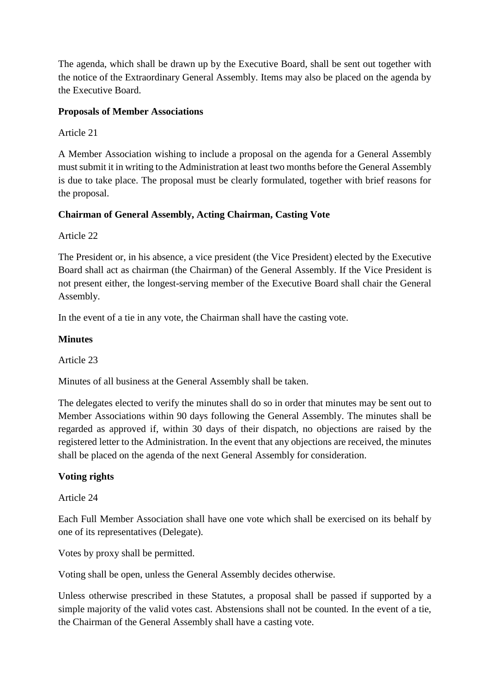The agenda, which shall be drawn up by the Executive Board, shall be sent out together with the notice of the Extraordinary General Assembly. Items may also be placed on the agenda by the Executive Board.

### **Proposals of Member Associations**

Article 21

A Member Association wishing to include a proposal on the agenda for a General Assembly must submit it in writing to the Administration at least two months before the General Assembly is due to take place. The proposal must be clearly formulated, together with brief reasons for the proposal.

# **Chairman of General Assembly, Acting Chairman, Casting Vote**

Article 22

The President or, in his absence, a vice president (the Vice President) elected by the Executive Board shall act as chairman (the Chairman) of the General Assembly. If the Vice President is not present either, the longest-serving member of the Executive Board shall chair the General Assembly.

In the event of a tie in any vote, the Chairman shall have the casting vote.

#### **Minutes**

Article 23

Minutes of all business at the General Assembly shall be taken.

The delegates elected to verify the minutes shall do so in order that minutes may be sent out to Member Associations within 90 days following the General Assembly. The minutes shall be regarded as approved if, within 30 days of their dispatch, no objections are raised by the registered letter to the Administration. In the event that any objections are received, the minutes shall be placed on the agenda of the next General Assembly for consideration.

# **Voting rights**

Article 24

Each Full Member Association shall have one vote which shall be exercised on its behalf by one of its representatives (Delegate).

Votes by proxy shall be permitted.

Voting shall be open, unless the General Assembly decides otherwise.

Unless otherwise prescribed in these Statutes, a proposal shall be passed if supported by a simple majority of the valid votes cast. Abstensions shall not be counted. In the event of a tie, the Chairman of the General Assembly shall have a casting vote.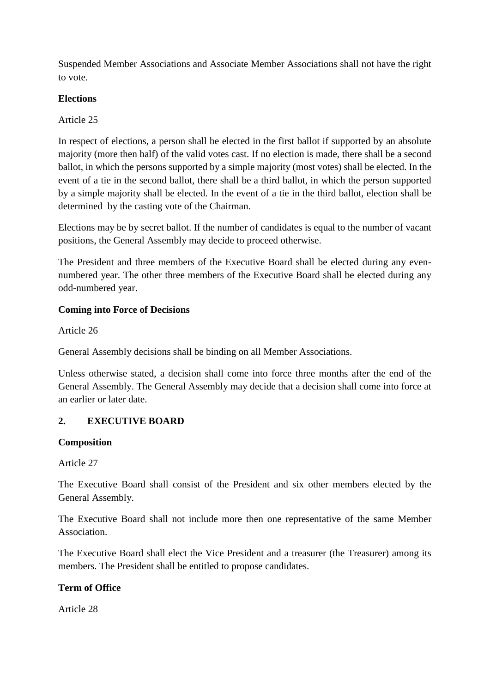Suspended Member Associations and Associate Member Associations shall not have the right to vote.

# **Elections**

Article 25

In respect of elections, a person shall be elected in the first ballot if supported by an absolute majority (more then half) of the valid votes cast. If no election is made, there shall be a second ballot, in which the persons supported by a simple majority (most votes) shall be elected. In the event of a tie in the second ballot, there shall be a third ballot, in which the person supported by a simple majority shall be elected. In the event of a tie in the third ballot, election shall be determined by the casting vote of the Chairman.

Elections may be by secret ballot. If the number of candidates is equal to the number of vacant positions, the General Assembly may decide to proceed otherwise.

The President and three members of the Executive Board shall be elected during any evennumbered year. The other three members of the Executive Board shall be elected during any odd-numbered year.

### **Coming into Force of Decisions**

Article 26

General Assembly decisions shall be binding on all Member Associations.

Unless otherwise stated, a decision shall come into force three months after the end of the General Assembly. The General Assembly may decide that a decision shall come into force at an earlier or later date.

# **2. EXECUTIVE BOARD**

#### **Composition**

Article 27

The Executive Board shall consist of the President and six other members elected by the General Assembly.

The Executive Board shall not include more then one representative of the same Member Association.

The Executive Board shall elect the Vice President and a treasurer (the Treasurer) among its members. The President shall be entitled to propose candidates.

# **Term of Office**

Article 28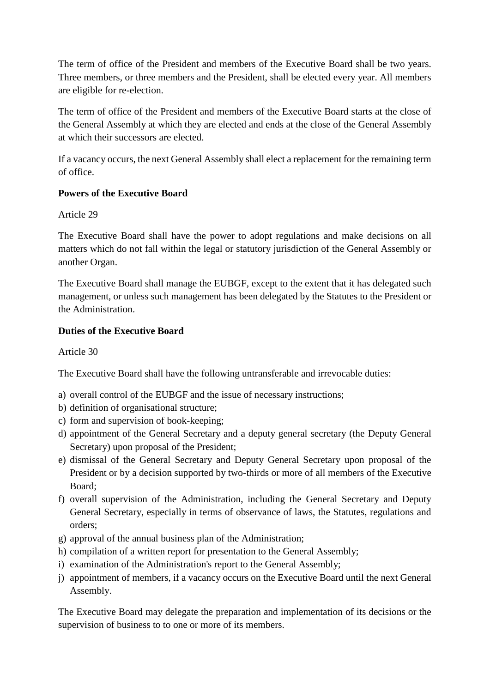The term of office of the President and members of the Executive Board shall be two years. Three members, or three members and the President, shall be elected every year. All members are eligible for re-election.

The term of office of the President and members of the Executive Board starts at the close of the General Assembly at which they are elected and ends at the close of the General Assembly at which their successors are elected.

If a vacancy occurs, the next General Assembly shall elect a replacement for the remaining term of office.

# **Powers of the Executive Board**

Article 29

The Executive Board shall have the power to adopt regulations and make decisions on all matters which do not fall within the legal or statutory jurisdiction of the General Assembly or another Organ.

The Executive Board shall manage the EUBGF, except to the extent that it has delegated such management, or unless such management has been delegated by the Statutes to the President or the Administration.

# **Duties of the Executive Board**

Article 30

The Executive Board shall have the following untransferable and irrevocable duties:

- a) overall control of the EUBGF and the issue of necessary instructions;
- b) definition of organisational structure;
- c) form and supervision of book-keeping;
- d) appointment of the General Secretary and a deputy general secretary (the Deputy General Secretary) upon proposal of the President;
- e) dismissal of the General Secretary and Deputy General Secretary upon proposal of the President or by a decision supported by two-thirds or more of all members of the Executive Board;
- f) overall supervision of the Administration, including the General Secretary and Deputy General Secretary, especially in terms of observance of laws, the Statutes, regulations and orders;
- g) approval of the annual business plan of the Administration;
- h) compilation of a written report for presentation to the General Assembly;
- i) examination of the Administration's report to the General Assembly;
- j) appointment of members, if a vacancy occurs on the Executive Board until the next General Assembly.

The Executive Board may delegate the preparation and implementation of its decisions or the supervision of business to to one or more of its members.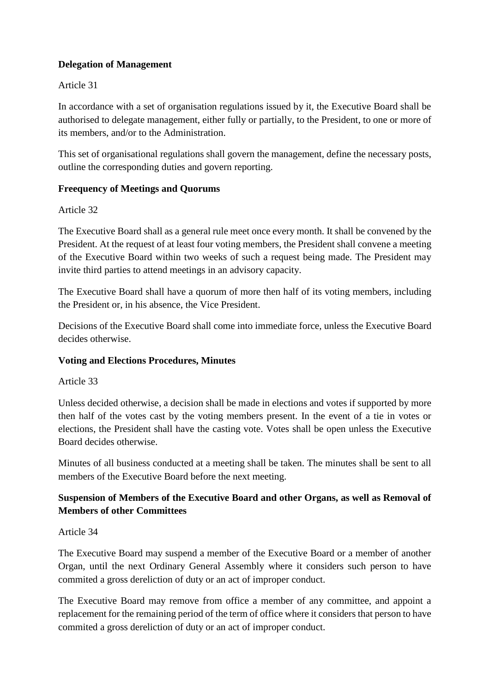# **Delegation of Management**

#### Article 31

In accordance with a set of organisation regulations issued by it, the Executive Board shall be authorised to delegate management, either fully or partially, to the President, to one or more of its members, and/or to the Administration.

This set of organisational regulations shall govern the management, define the necessary posts, outline the corresponding duties and govern reporting.

### **Freequency of Meetings and Quorums**

#### Article 32

The Executive Board shall as a general rule meet once every month. It shall be convened by the President. At the request of at least four voting members, the President shall convene a meeting of the Executive Board within two weeks of such a request being made. The President may invite third parties to attend meetings in an advisory capacity.

The Executive Board shall have a quorum of more then half of its voting members, including the President or, in his absence, the Vice President.

Decisions of the Executive Board shall come into immediate force, unless the Executive Board decides otherwise.

# **Voting and Elections Procedures, Minutes**

#### Article 33

Unless decided otherwise, a decision shall be made in elections and votes if supported by more then half of the votes cast by the voting members present. In the event of a tie in votes or elections, the President shall have the casting vote. Votes shall be open unless the Executive Board decides otherwise.

Minutes of all business conducted at a meeting shall be taken. The minutes shall be sent to all members of the Executive Board before the next meeting.

# **Suspension of Members of the Executive Board and other Organs, as well as Removal of Members of other Committees**

#### Article 34

The Executive Board may suspend a member of the Executive Board or a member of another Organ, until the next Ordinary General Assembly where it considers such person to have commited a gross dereliction of duty or an act of improper conduct.

The Executive Board may remove from office a member of any committee, and appoint a replacement for the remaining period of the term of office where it considers that person to have commited a gross dereliction of duty or an act of improper conduct.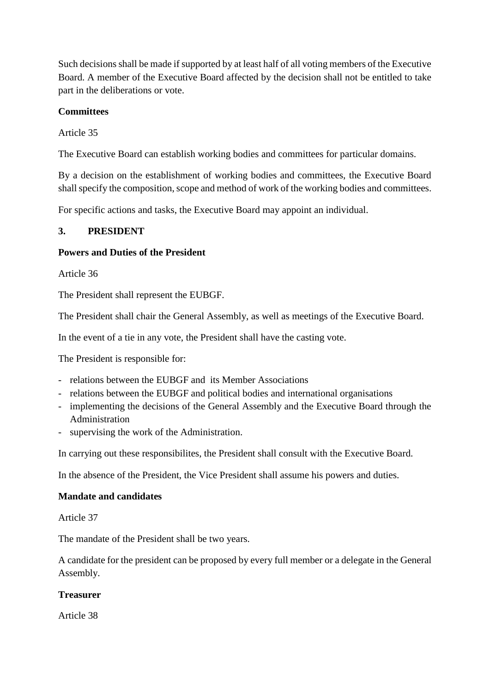Such decisions shall be made if supported by at least half of all voting members of the Executive Board. A member of the Executive Board affected by the decision shall not be entitled to take part in the deliberations or vote.

### **Committees**

Article 35

The Executive Board can establish working bodies and committees for particular domains.

By a decision on the establishment of working bodies and committees, the Executive Board shall specify the composition, scope and method of work of the working bodies and committees.

For specific actions and tasks, the Executive Board may appoint an individual.

### **3. PRESIDENT**

#### **Powers and Duties of the President**

Article 36

The President shall represent the EUBGF.

The President shall chair the General Assembly, as well as meetings of the Executive Board.

In the event of a tie in any vote, the President shall have the casting vote.

The President is responsible for:

- relations between the EUBGF and its Member Associations
- relations between the EUBGF and political bodies and international organisations
- implementing the decisions of the General Assembly and the Executive Board through the Administration
- supervising the work of the Administration.

In carrying out these responsibilites, the President shall consult with the Executive Board.

In the absence of the President, the Vice President shall assume his powers and duties.

#### **Mandate and candidates**

Article 37

The mandate of the President shall be two years.

A candidate for the president can be proposed by every full member or a delegate in the General Assembly.

#### **Treasurer**

Article 38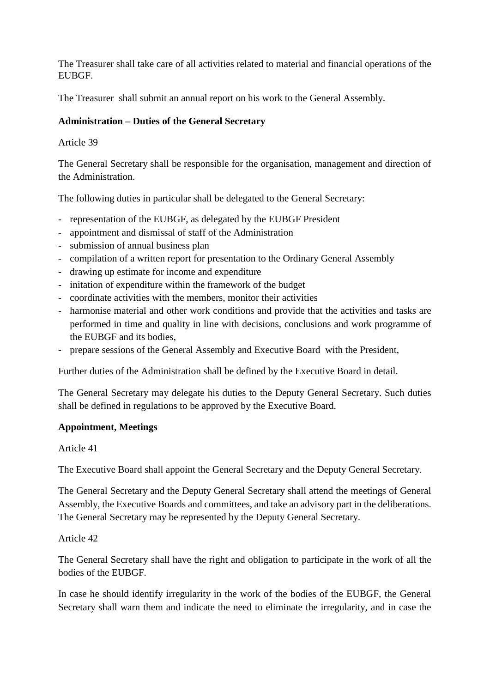The Treasurer shall take care of all activities related to material and financial operations of the **EURGE.** 

The Treasurer shall submit an annual report on his work to the General Assembly.

#### **Administration – Duties of the General Secretary**

#### Article 39

The General Secretary shall be responsible for the organisation, management and direction of the Administration.

The following duties in particular shall be delegated to the General Secretary:

- representation of the EUBGF, as delegated by the EUBGF President
- appointment and dismissal of staff of the Administration
- submission of annual business plan
- compilation of a written report for presentation to the Ordinary General Assembly
- drawing up estimate for income and expenditure
- initation of expenditure within the framework of the budget
- coordinate activities with the members, monitor their activities
- harmonise material and other work conditions and provide that the activities and tasks are performed in time and quality in line with decisions, conclusions and work programme of the EUBGF and its bodies,
- prepare sessions of the General Assembly and Executive Board with the President,

Further duties of the Administration shall be defined by the Executive Board in detail.

The General Secretary may delegate his duties to the Deputy General Secretary. Such duties shall be defined in regulations to be approved by the Executive Board.

#### **Appointment, Meetings**

Article 41

The Executive Board shall appoint the General Secretary and the Deputy General Secretary.

The General Secretary and the Deputy General Secretary shall attend the meetings of General Assembly, the Executive Boards and committees, and take an advisory part in the deliberations. The General Secretary may be represented by the Deputy General Secretary.

#### Article 42

The General Secretary shall have the right and obligation to participate in the work of all the bodies of the EUBGF.

In case he should identify irregularity in the work of the bodies of the EUBGF, the General Secretary shall warn them and indicate the need to eliminate the irregularity, and in case the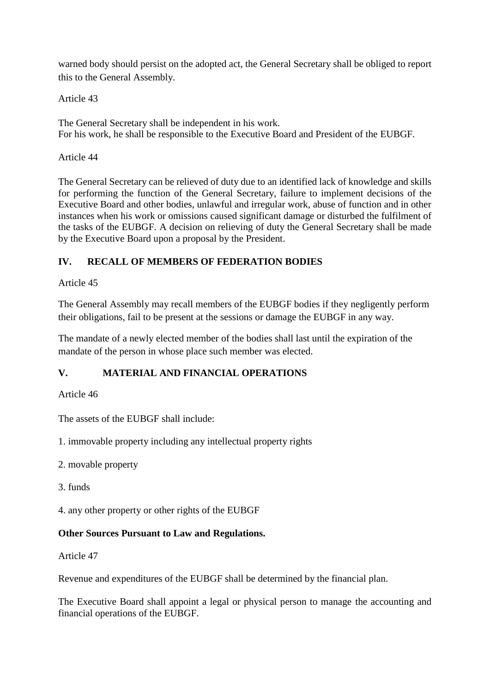warned body should persist on the adopted act, the General Secretary shall be obliged to report this to the General Assembly.

Article 43

The General Secretary shall be independent in his work. For his work, he shall be responsible to the Executive Board and President of the EUBGF.

#### Article 44

The General Secretary can be relieved of duty due to an identified lack of knowledge and skills for performing the function of the General Secretary, failure to implement decisions of the Executive Board and other bodies, unlawful and irregular work, abuse of function and in other instances when his work or omissions caused significant damage or disturbed the fulfilment of the tasks of the EUBGF. A decision on relieving of duty the General Secretary shall be made by the Executive Board upon a proposal by the President.

# **IV. RECALL OF MEMBERS OF FEDERATION BODIES**

### Article 45

The General Assembly may recall members of the EUBGF bodies if they negligently perform their obligations, fail to be present at the sessions or damage the EUBGF in any way.

The mandate of a newly elected member of the bodies shall last until the expiration of the mandate of the person in whose place such member was elected.

# **V. MATERIAL AND FINANCIAL OPERATIONS**

Article 46

The assets of the EUBGF shall include:

1. immovable property including any intellectual property rights

- 2. movable property
- 3. funds

4. any other property or other rights of the EUBGF

# **Other Sources Pursuant to Law and Regulations.**

Article 47

Revenue and expenditures of the EUBGF shall be determined by the financial plan.

The Executive Board shall appoint a legal or physical person to manage the accounting and financial operations of the EUBGF.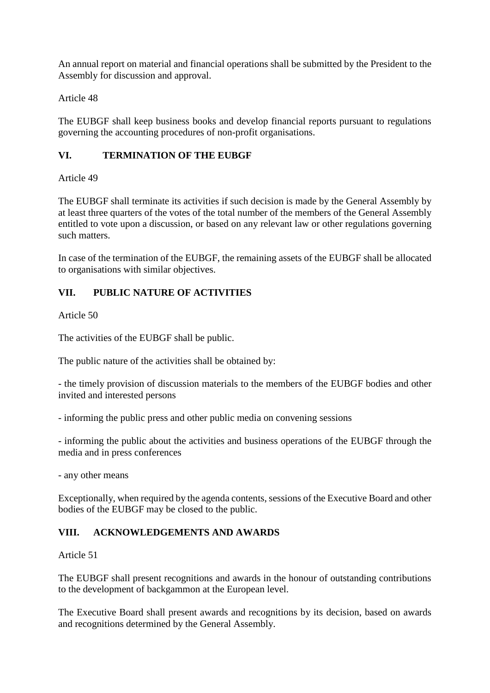An annual report on material and financial operations shall be submitted by the President to the Assembly for discussion and approval.

Article 48

The EUBGF shall keep business books and develop financial reports pursuant to regulations governing the accounting procedures of non-profit organisations.

# **VI. TERMINATION OF THE EUBGF**

Article 49

The EUBGF shall terminate its activities if such decision is made by the General Assembly by at least three quarters of the votes of the total number of the members of the General Assembly entitled to vote upon a discussion, or based on any relevant law or other regulations governing such matters.

In case of the termination of the EUBGF, the remaining assets of the EUBGF shall be allocated to organisations with similar objectives.

# **VII. PUBLIC NATURE OF ACTIVITIES**

Article 50

The activities of the EUBGF shall be public.

The public nature of the activities shall be obtained by:

- the timely provision of discussion materials to the members of the EUBGF bodies and other invited and interested persons

- informing the public press and other public media on convening sessions

- informing the public about the activities and business operations of the EUBGF through the media and in press conferences

- any other means

Exceptionally, when required by the agenda contents, sessions of the Executive Board and other bodies of the EUBGF may be closed to the public.

# **VIII. ACKNOWLEDGEMENTS AND AWARDS**

#### Article 51

The EUBGF shall present recognitions and awards in the honour of outstanding contributions to the development of backgammon at the European level.

The Executive Board shall present awards and recognitions by its decision, based on awards and recognitions determined by the General Assembly.